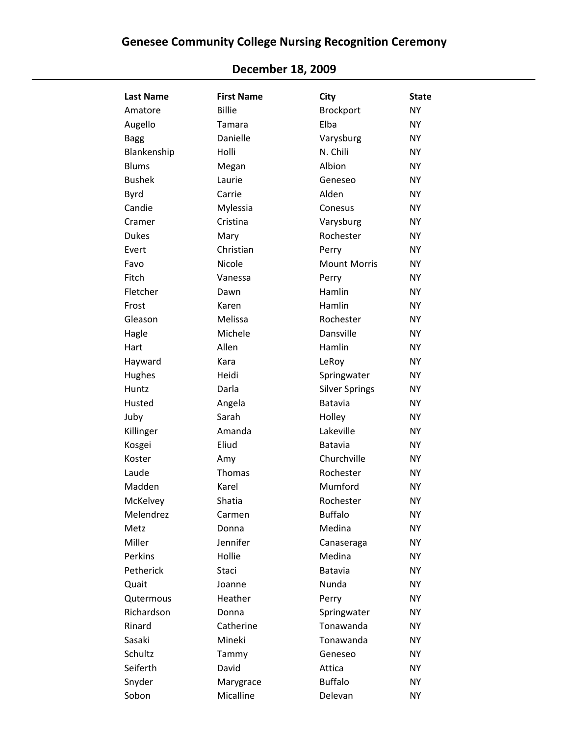| <b>Last Name</b> | <b>First Name</b> | City                  | <b>State</b> |
|------------------|-------------------|-----------------------|--------------|
| Amatore          | <b>Billie</b>     | <b>Brockport</b>      | <b>NY</b>    |
| Augello          | Tamara            | Elba                  | <b>NY</b>    |
| <b>Bagg</b>      | Danielle          | Varysburg             | <b>NY</b>    |
| Blankenship      | Holli             | N. Chili              | <b>NY</b>    |
| <b>Blums</b>     | Megan             | Albion                | <b>NY</b>    |
| <b>Bushek</b>    | Laurie            | Geneseo               | <b>NY</b>    |
| Byrd             | Carrie            | Alden                 | <b>NY</b>    |
| Candie           | Mylessia          | Conesus               | <b>NY</b>    |
| Cramer           | Cristina          | Varysburg             | <b>NY</b>    |
| <b>Dukes</b>     | Mary              | Rochester             | <b>NY</b>    |
| Evert            | Christian         | Perry                 | <b>NY</b>    |
| Favo             | Nicole            | <b>Mount Morris</b>   | <b>NY</b>    |
| Fitch            | Vanessa           | Perry                 | <b>NY</b>    |
| Fletcher         | Dawn              | Hamlin                | <b>NY</b>    |
| Frost            | Karen             | Hamlin                | <b>NY</b>    |
| Gleason          | Melissa           | Rochester             | <b>NY</b>    |
| Hagle            | Michele           | Dansville             | <b>NY</b>    |
| Hart             | Allen             | Hamlin                | <b>NY</b>    |
| Hayward          | Kara              | LeRoy                 | <b>NY</b>    |
| Hughes           | Heidi             | Springwater           | <b>NY</b>    |
| Huntz            | Darla             | <b>Silver Springs</b> | <b>NY</b>    |
| Husted           | Angela            | Batavia               | <b>NY</b>    |
| Juby             | Sarah             | Holley                | <b>NY</b>    |
| Killinger        | Amanda            | Lakeville             | <b>NY</b>    |
| Kosgei           | Eliud             | Batavia               | <b>NY</b>    |
| Koster           | Amy               | Churchville           | <b>NY</b>    |
| Laude            | <b>Thomas</b>     | Rochester             | <b>NY</b>    |
| Madden           | Karel             | Mumford               | <b>NY</b>    |
| McKelvey         | Shatia            | Rochester             | NY           |
| Melendrez        | Carmen            | <b>Buffalo</b>        | <b>NY</b>    |
| Metz             | Donna             | Medina                | <b>NY</b>    |
| Miller           | Jennifer          | Canaseraga            | <b>NY</b>    |
| Perkins          | Hollie            | Medina                | <b>NY</b>    |
| Petherick        | Staci             | Batavia               | <b>NY</b>    |
| Quait            | Joanne            | Nunda                 | <b>NY</b>    |
| Qutermous        | Heather           | Perry                 | <b>NY</b>    |
| Richardson       | Donna             | Springwater           | <b>NY</b>    |
| Rinard           | Catherine         | Tonawanda             | <b>NY</b>    |
| Sasaki           | Mineki            | Tonawanda             | <b>NY</b>    |
| Schultz          | Tammy             | Geneseo               | <b>NY</b>    |
| Seiferth         | David             | Attica                | <b>NY</b>    |
| Snyder           | Marygrace         | <b>Buffalo</b>        | <b>NY</b>    |
| Sobon            | Micalline         | Delevan               | <b>NY</b>    |

## **December 18, 2009**